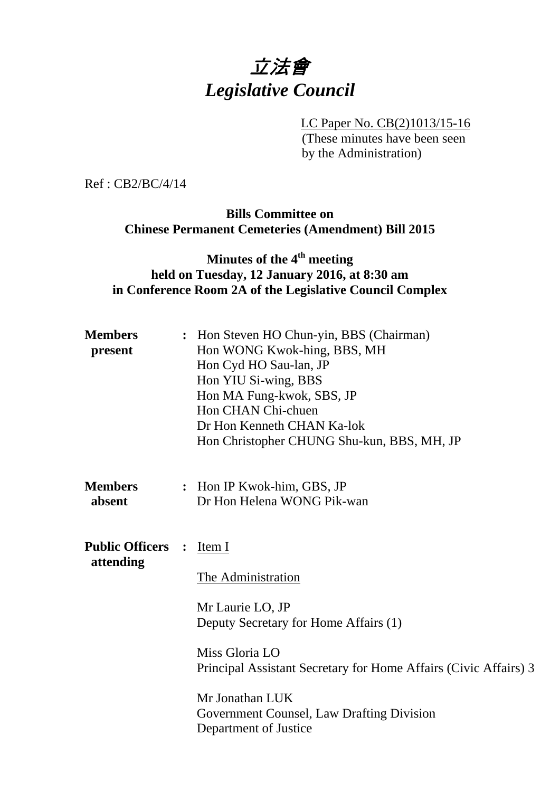# 立法會 *Legislative Council*

LC Paper No. CB(2)1013/15-16 (These minutes have been seen by the Administration)

Ref : CB2/BC/4/14

## **Bills Committee on Chinese Permanent Cemeteries (Amendment) Bill 2015**

## **Minutes of the 4th meeting held on Tuesday, 12 January 2016, at 8:30 am in Conference Room 2A of the Legislative Council Complex**

| <b>Members</b><br>present           |  | : Hon Steven HO Chun-yin, BBS (Chairman)<br>Hon WONG Kwok-hing, BBS, MH<br>Hon Cyd HO Sau-lan, JP<br>Hon YIU Si-wing, BBS<br>Hon MA Fung-kwok, SBS, JP<br>Hon CHAN Chi-chuen<br>Dr Hon Kenneth CHAN Ka-lok<br>Hon Christopher CHUNG Shu-kun, BBS, MH, JP                                   |
|-------------------------------------|--|--------------------------------------------------------------------------------------------------------------------------------------------------------------------------------------------------------------------------------------------------------------------------------------------|
| <b>Members</b><br>absent            |  | : Hon IP Kwok-him, GBS, JP<br>Dr Hon Helena WONG Pik-wan                                                                                                                                                                                                                                   |
| <b>Public Officers</b><br>attending |  | Item I<br>$\ddot{\cdot}$<br>The Administration<br>Mr Laurie LO, JP<br>Deputy Secretary for Home Affairs (1)<br>Miss Gloria LO<br>Principal Assistant Secretary for Home Affairs (Civic Affairs) 3<br>Mr Jonathan LUK<br>Government Counsel, Law Drafting Division<br>Department of Justice |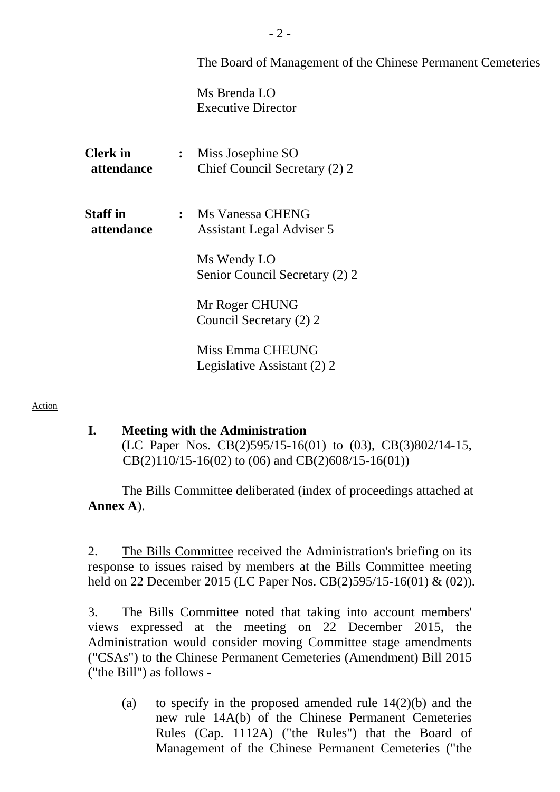| The Board of Management of the Chinese Permanent Cemeteries |
|-------------------------------------------------------------|
|-------------------------------------------------------------|

Ms Brenda LO Executive Director

| <b>Clerk</b> in<br>attendance | $\ddot{\cdot}$ | Miss Josephine SO<br>Chief Council Secretary (2) 2     |
|-------------------------------|----------------|--------------------------------------------------------|
| <b>Staff in</b><br>attendance |                | : Ms Vanessa CHENG<br><b>Assistant Legal Adviser 5</b> |
|                               |                | Ms Wendy LO<br>Senior Council Secretary (2) 2          |
|                               |                | Mr Roger CHUNG<br>Council Secretary (2) 2              |
|                               |                | Miss Emma CHEUNG<br>Legislative Assistant (2) 2        |

#### Action

#### **I. Meeting with the Administration**

(LC Paper Nos. CB(2)595/15-16(01) to (03), CB(3)802/14-15, CB(2)110/15-16(02) to (06) and CB(2)608/15-16(01))

 The Bills Committee deliberated (index of proceedings attached at **Annex A**).

2. The Bills Committee received the Administration's briefing on its response to issues raised by members at the Bills Committee meeting held on 22 December 2015 (LC Paper Nos. CB(2)595/15-16(01) & (02)).

3. The Bills Committee noted that taking into account members' views expressed at the meeting on 22 December 2015, the Administration would consider moving Committee stage amendments ("CSAs") to the Chinese Permanent Cemeteries (Amendment) Bill 2015 ("the Bill") as follows -

(a) to specify in the proposed amended rule 14(2)(b) and the new rule 14A(b) of the Chinese Permanent Cemeteries Rules (Cap. 1112A) ("the Rules") that the Board of Management of the Chinese Permanent Cemeteries ("the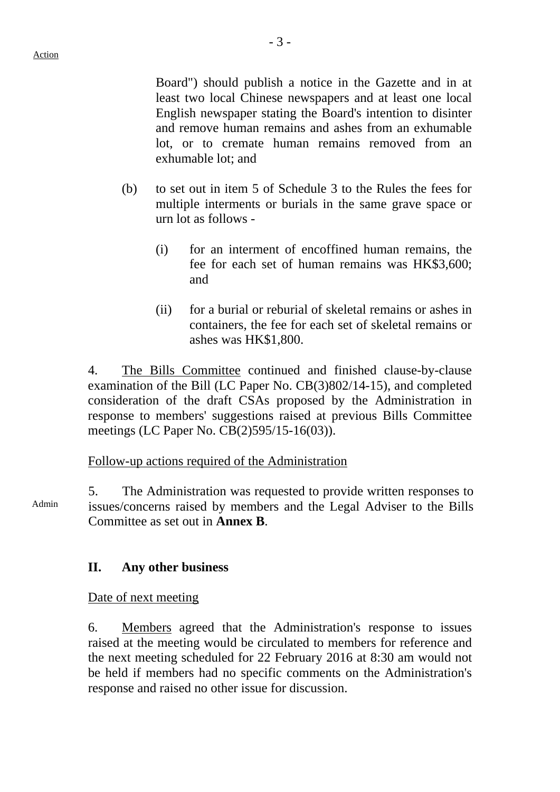Board") should publish a notice in the Gazette and in at least two local Chinese newspapers and at least one local English newspaper stating the Board's intention to disinter and remove human remains and ashes from an exhumable lot, or to cremate human remains removed from an exhumable lot; and

- (b) to set out in item 5 of Schedule 3 to the Rules the fees for multiple interments or burials in the same grave space or urn lot as follows -
	- (i) for an interment of encoffined human remains, the fee for each set of human remains was HK\$3,600; and
	- (ii) for a burial or reburial of skeletal remains or ashes in containers, the fee for each set of skeletal remains or ashes was HK\$1,800.

4. The Bills Committee continued and finished clause-by-clause examination of the Bill (LC Paper No. CB(3)802/14-15), and completed consideration of the draft CSAs proposed by the Administration in response to members' suggestions raised at previous Bills Committee meetings (LC Paper No. CB(2)595/15-16(03)).

Follow-up actions required of the Administration

Admin 5. The Administration was requested to provide written responses to issues/concerns raised by members and the Legal Adviser to the Bills Committee as set out in **Annex B**.

## **II. Any other business**

Date of next meeting

6. Members agreed that the Administration's response to issues raised at the meeting would be circulated to members for reference and the next meeting scheduled for 22 February 2016 at 8:30 am would not be held if members had no specific comments on the Administration's response and raised no other issue for discussion.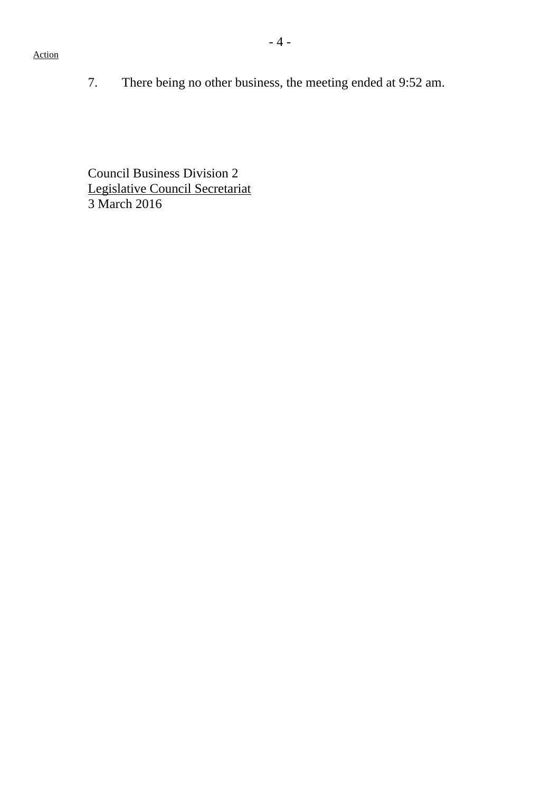7. There being no other business, the meeting ended at 9:52 am.

Council Business Division 2 Legislative Council Secretariat 3 March 2016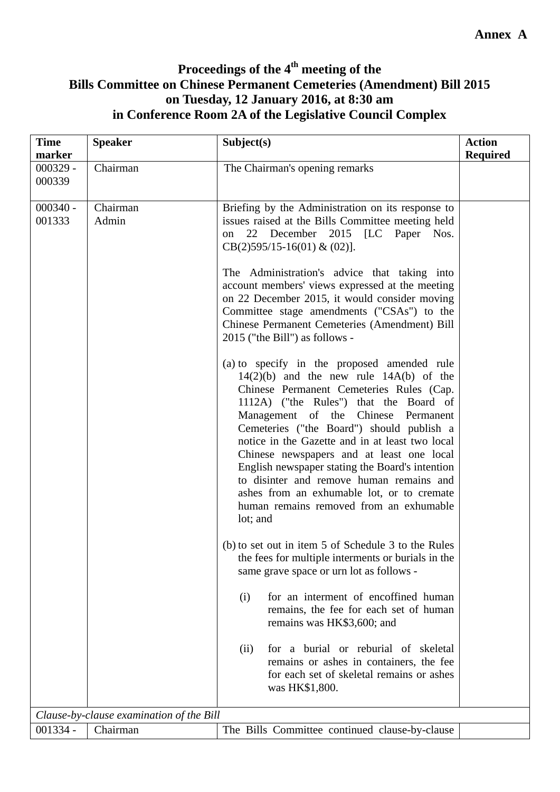## **Proceedings of the 4th meeting of the Bills Committee on Chinese Permanent Cemeteries (Amendment) Bill 2015 on Tuesday, 12 January 2016, at 8:30 am in Conference Room 2A of the Legislative Council Complex**

| <b>Time</b><br>marker | <b>Speaker</b>                           | Subject(s)                                                                                                                                                                                                                                                                                                                                                                                                                                                                                                                                                               | <b>Action</b><br><b>Required</b> |
|-----------------------|------------------------------------------|--------------------------------------------------------------------------------------------------------------------------------------------------------------------------------------------------------------------------------------------------------------------------------------------------------------------------------------------------------------------------------------------------------------------------------------------------------------------------------------------------------------------------------------------------------------------------|----------------------------------|
| $000329 -$<br>000339  | Chairman                                 | The Chairman's opening remarks                                                                                                                                                                                                                                                                                                                                                                                                                                                                                                                                           |                                  |
| $000340 -$<br>001333  | Chairman<br>Admin                        | Briefing by the Administration on its response to<br>issues raised at the Bills Committee meeting held<br>22 December 2015 [LC Paper Nos.<br>on<br>$CB(2)595/15-16(01) \& (02)$ ].                                                                                                                                                                                                                                                                                                                                                                                       |                                  |
|                       |                                          | The Administration's advice that taking into<br>account members' views expressed at the meeting<br>on 22 December 2015, it would consider moving<br>Committee stage amendments ("CSAs") to the<br>Chinese Permanent Cemeteries (Amendment) Bill<br>2015 ("the Bill") as follows -                                                                                                                                                                                                                                                                                        |                                  |
|                       |                                          | (a) to specify in the proposed amended rule<br>$14(2)(b)$ and the new rule $14A(b)$ of the<br>Chinese Permanent Cemeteries Rules (Cap.<br>1112A) ("the Rules") that the Board of<br>Management of the Chinese Permanent<br>Cemeteries ("the Board") should publish a<br>notice in the Gazette and in at least two local<br>Chinese newspapers and at least one local<br>English newspaper stating the Board's intention<br>to disinter and remove human remains and<br>ashes from an exhumable lot, or to cremate<br>human remains removed from an exhumable<br>lot; and |                                  |
|                       |                                          | (b) to set out in item 5 of Schedule 3 to the Rules<br>the fees for multiple interments or burials in the<br>same grave space or urn lot as follows -                                                                                                                                                                                                                                                                                                                                                                                                                    |                                  |
|                       |                                          | for an interment of encoffined human<br>(i)<br>remains, the fee for each set of human<br>remains was HK\$3,600; and                                                                                                                                                                                                                                                                                                                                                                                                                                                      |                                  |
|                       |                                          | for a burial or reburial of skeletal<br>(ii)<br>remains or ashes in containers, the fee<br>for each set of skeletal remains or ashes<br>was HK\$1,800.                                                                                                                                                                                                                                                                                                                                                                                                                   |                                  |
|                       | Clause-by-clause examination of the Bill |                                                                                                                                                                                                                                                                                                                                                                                                                                                                                                                                                                          |                                  |
| $001334 -$            | Chairman                                 | The Bills Committee continued clause-by-clause                                                                                                                                                                                                                                                                                                                                                                                                                                                                                                                           |                                  |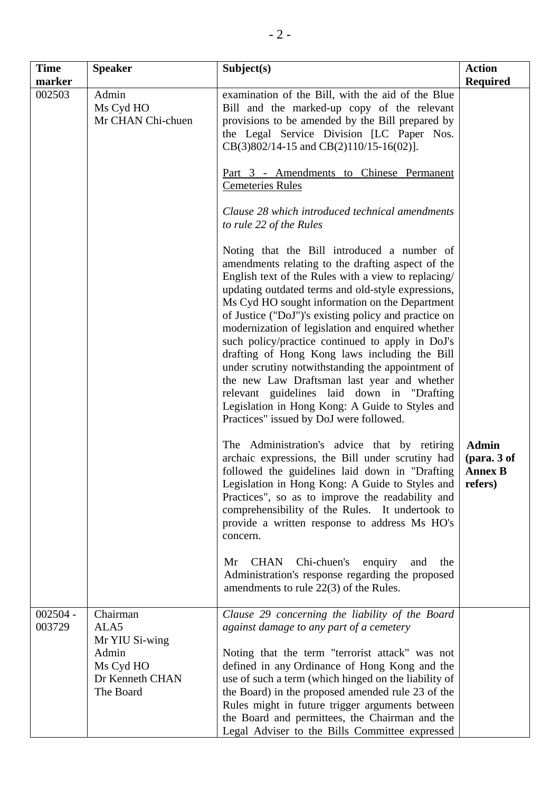| <b>Time</b>          | <b>Speaker</b>                                                                           | Subject(s)                                                                                                                                                                                                                                                                                                                                                                                                                                                                                                                                                                                                                                                                                                                        | <b>Action</b>                                            |
|----------------------|------------------------------------------------------------------------------------------|-----------------------------------------------------------------------------------------------------------------------------------------------------------------------------------------------------------------------------------------------------------------------------------------------------------------------------------------------------------------------------------------------------------------------------------------------------------------------------------------------------------------------------------------------------------------------------------------------------------------------------------------------------------------------------------------------------------------------------------|----------------------------------------------------------|
| marker               |                                                                                          |                                                                                                                                                                                                                                                                                                                                                                                                                                                                                                                                                                                                                                                                                                                                   | <b>Required</b>                                          |
| 002503               | Admin<br>Ms Cyd HO<br>Mr CHAN Chi-chuen                                                  | examination of the Bill, with the aid of the Blue<br>Bill and the marked-up copy of the relevant<br>provisions to be amended by the Bill prepared by<br>the Legal Service Division [LC Paper Nos.<br>$CB(3)802/14-15$ and $CB(2)110/15-16(02)$ ].                                                                                                                                                                                                                                                                                                                                                                                                                                                                                 |                                                          |
|                      |                                                                                          | Part 3 - Amendments to Chinese Permanent<br><b>Cemeteries Rules</b>                                                                                                                                                                                                                                                                                                                                                                                                                                                                                                                                                                                                                                                               |                                                          |
|                      |                                                                                          | Clause 28 which introduced technical amendments<br>to rule 22 of the Rules                                                                                                                                                                                                                                                                                                                                                                                                                                                                                                                                                                                                                                                        |                                                          |
|                      |                                                                                          | Noting that the Bill introduced a number of<br>amendments relating to the drafting aspect of the<br>English text of the Rules with a view to replacing/<br>updating outdated terms and old-style expressions,<br>Ms Cyd HO sought information on the Department<br>of Justice ("DoJ")'s existing policy and practice on<br>modernization of legislation and enquired whether<br>such policy/practice continued to apply in DoJ's<br>drafting of Hong Kong laws including the Bill<br>under scrutiny notwithstanding the appointment of<br>the new Law Draftsman last year and whether<br>relevant guidelines laid down in "Drafting<br>Legislation in Hong Kong: A Guide to Styles and<br>Practices" issued by DoJ were followed. |                                                          |
|                      |                                                                                          | The Administration's advice that by retiring<br>archaic expressions, the Bill under scrutiny had<br>followed the guidelines laid down in "Drafting"<br>Legislation in Hong Kong: A Guide to Styles and<br>Practices", so as to improve the readability and<br>comprehensibility of the Rules. It undertook to<br>provide a written response to address Ms HO's<br>concern.<br>Chi-chuen's<br><b>CHAN</b><br>enquiry<br>Mr<br>and<br>the                                                                                                                                                                                                                                                                                           | <b>Admin</b><br>(para. 3 of<br><b>Annex B</b><br>refers) |
|                      |                                                                                          | Administration's response regarding the proposed<br>amendments to rule 22(3) of the Rules.                                                                                                                                                                                                                                                                                                                                                                                                                                                                                                                                                                                                                                        |                                                          |
| $002504 -$<br>003729 | Chairman<br>ALA5<br>Mr YIU Si-wing<br>Admin<br>Ms Cyd HO<br>Dr Kenneth CHAN<br>The Board | Clause 29 concerning the liability of the Board<br>against damage to any part of a cemetery<br>Noting that the term "terrorist attack" was not<br>defined in any Ordinance of Hong Kong and the<br>use of such a term (which hinged on the liability of<br>the Board) in the proposed amended rule 23 of the<br>Rules might in future trigger arguments between<br>the Board and permittees, the Chairman and the<br>Legal Adviser to the Bills Committee expressed                                                                                                                                                                                                                                                               |                                                          |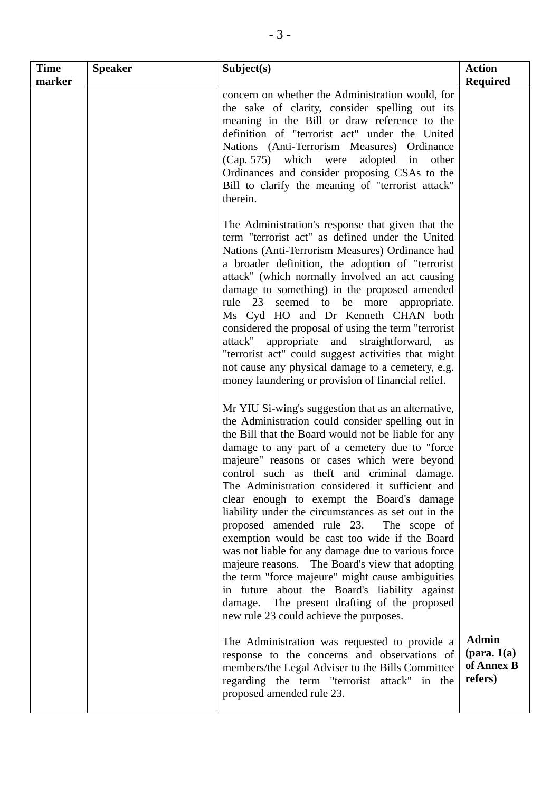| <b>Time</b><br>marker | <b>Speaker</b> | Subject(s)                                                                                                                                                                                                                                                                                                                                                                                                                                                                                                                                                                                                                                                                                                                                                                                                                                                                | <b>Action</b><br><b>Required</b>                                |
|-----------------------|----------------|---------------------------------------------------------------------------------------------------------------------------------------------------------------------------------------------------------------------------------------------------------------------------------------------------------------------------------------------------------------------------------------------------------------------------------------------------------------------------------------------------------------------------------------------------------------------------------------------------------------------------------------------------------------------------------------------------------------------------------------------------------------------------------------------------------------------------------------------------------------------------|-----------------------------------------------------------------|
|                       |                | concern on whether the Administration would, for<br>the sake of clarity, consider spelling out its<br>meaning in the Bill or draw reference to the<br>definition of "terrorist act" under the United<br>Nations (Anti-Terrorism Measures) Ordinance<br>(Cap. 575) which were<br>adopted in<br>other<br>Ordinances and consider proposing CSAs to the<br>Bill to clarify the meaning of "terrorist attack"<br>therein.                                                                                                                                                                                                                                                                                                                                                                                                                                                     |                                                                 |
|                       |                | The Administration's response that given that the<br>term "terrorist act" as defined under the United<br>Nations (Anti-Terrorism Measures) Ordinance had<br>a broader definition, the adoption of "terrorist<br>attack" (which normally involved an act causing<br>damage to something) in the proposed amended<br>rule 23 seemed to be more appropriate.<br>Ms Cyd HO and Dr Kenneth CHAN both<br>considered the proposal of using the term "terrorist"<br>attack"<br>appropriate and straightforward,<br>as<br>"terrorist act" could suggest activities that might<br>not cause any physical damage to a cemetery, e.g.<br>money laundering or provision of financial relief.                                                                                                                                                                                           |                                                                 |
|                       |                | Mr YIU Si-wing's suggestion that as an alternative,<br>the Administration could consider spelling out in<br>the Bill that the Board would not be liable for any<br>damage to any part of a cemetery due to "force<br>majeure" reasons or cases which were beyond<br>control such as theft and criminal damage.<br>The Administration considered it sufficient and<br>clear enough to exempt the Board's damage<br>liability under the circumstances as set out in the<br>proposed amended rule 23. The scope of<br>exemption would be cast too wide if the Board<br>was not liable for any damage due to various force<br>majeure reasons. The Board's view that adopting<br>the term "force majeure" might cause ambiguities<br>in future about the Board's liability against<br>damage. The present drafting of the proposed<br>new rule 23 could achieve the purposes. |                                                                 |
|                       |                | The Administration was requested to provide a<br>response to the concerns and observations of<br>members/the Legal Adviser to the Bills Committee<br>regarding the term "terrorist attack" in the<br>proposed amended rule 23.                                                                                                                                                                                                                                                                                                                                                                                                                                                                                                                                                                                                                                            | <b>Admin</b><br>$(\text{para. } 1(a))$<br>of Annex B<br>refers) |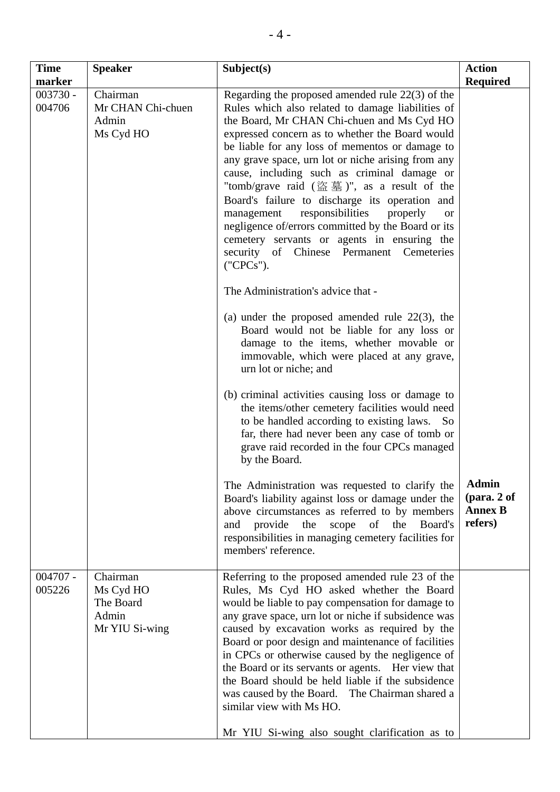| <b>Time</b><br>marker | <b>Speaker</b>                                                | Subject(s)                                                                                                                                                                                                                                                                                                                                                                                                                                                                                                                                                                                                                                                                                                                                                                                                                                                                                                                                                                                                                                                                                                                                                                                                                   | <b>Action</b><br><b>Required</b>                              |
|-----------------------|---------------------------------------------------------------|------------------------------------------------------------------------------------------------------------------------------------------------------------------------------------------------------------------------------------------------------------------------------------------------------------------------------------------------------------------------------------------------------------------------------------------------------------------------------------------------------------------------------------------------------------------------------------------------------------------------------------------------------------------------------------------------------------------------------------------------------------------------------------------------------------------------------------------------------------------------------------------------------------------------------------------------------------------------------------------------------------------------------------------------------------------------------------------------------------------------------------------------------------------------------------------------------------------------------|---------------------------------------------------------------|
| $003730 -$<br>004706  | Chairman<br>Mr CHAN Chi-chuen<br>Admin<br>Ms Cyd HO           | Regarding the proposed amended rule $22(3)$ of the<br>Rules which also related to damage liabilities of<br>the Board, Mr CHAN Chi-chuen and Ms Cyd HO<br>expressed concern as to whether the Board would<br>be liable for any loss of mementos or damage to<br>any grave space, urn lot or niche arising from any<br>cause, including such as criminal damage or<br>"tomb/grave raid (盜墓)", as a result of the<br>Board's failure to discharge its operation and<br>responsibilities<br>properly<br>management<br><b>or</b><br>negligence of/errors committed by the Board or its<br>cemetery servants or agents in ensuring the<br>security of Chinese Permanent Cemeteries<br>('CPCs').<br>The Administration's advice that -<br>(a) under the proposed amended rule $22(3)$ , the<br>Board would not be liable for any loss or<br>damage to the items, whether movable or<br>immovable, which were placed at any grave,<br>urn lot or niche; and<br>(b) criminal activities causing loss or damage to<br>the items/other cemetery facilities would need<br>to be handled according to existing laws. So<br>far, there had never been any case of tomb or<br>grave raid recorded in the four CPCs managed<br>by the Board. |                                                               |
|                       |                                                               | The Administration was requested to clarify the<br>Board's liability against loss or damage under the<br>above circumstances as referred to by members<br>the<br>of the<br>provide<br>scope<br>Board's<br>and<br>responsibilities in managing cemetery facilities for<br>members' reference.                                                                                                                                                                                                                                                                                                                                                                                                                                                                                                                                                                                                                                                                                                                                                                                                                                                                                                                                 | <b>Admin</b><br>$1 (para. 2 of)$<br><b>Annex B</b><br>refers) |
| $004707 -$<br>005226  | Chairman<br>Ms Cyd HO<br>The Board<br>Admin<br>Mr YIU Si-wing | Referring to the proposed amended rule 23 of the<br>Rules, Ms Cyd HO asked whether the Board<br>would be liable to pay compensation for damage to<br>any grave space, urn lot or niche if subsidence was<br>caused by excavation works as required by the<br>Board or poor design and maintenance of facilities<br>in CPCs or otherwise caused by the negligence of<br>the Board or its servants or agents. Her view that<br>the Board should be held liable if the subsidence<br>was caused by the Board. The Chairman shared a<br>similar view with Ms HO.<br>Mr YIU Si-wing also sought clarification as to                                                                                                                                                                                                                                                                                                                                                                                                                                                                                                                                                                                                               |                                                               |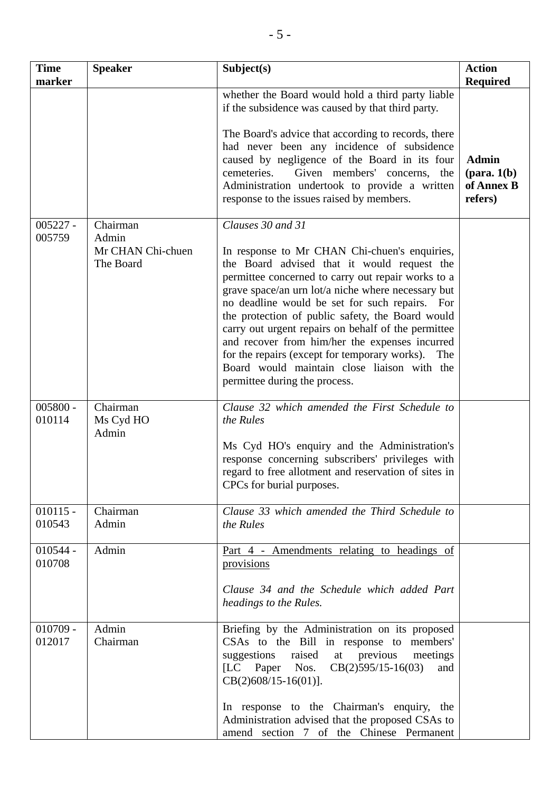| <b>Time</b><br>marker | <b>Speaker</b>                                      | Subject(s)                                                                                                                                                                                                                                                                                                                                                                                                                                                                                                                                                                        | <b>Action</b><br><b>Required</b>                                |
|-----------------------|-----------------------------------------------------|-----------------------------------------------------------------------------------------------------------------------------------------------------------------------------------------------------------------------------------------------------------------------------------------------------------------------------------------------------------------------------------------------------------------------------------------------------------------------------------------------------------------------------------------------------------------------------------|-----------------------------------------------------------------|
|                       |                                                     | whether the Board would hold a third party liable<br>if the subsidence was caused by that third party.<br>The Board's advice that according to records, there<br>had never been any incidence of subsidence<br>caused by negligence of the Board in its four<br>Given members' concerns,<br>cemeteries.<br>the<br>Administration undertook to provide a written<br>response to the issues raised by members.                                                                                                                                                                      | <b>Admin</b><br>$(\text{para. } 1(b))$<br>of Annex B<br>refers) |
| $005227 -$<br>005759  | Chairman<br>Admin<br>Mr CHAN Chi-chuen<br>The Board | Clauses 30 and 31<br>In response to Mr CHAN Chi-chuen's enquiries,<br>the Board advised that it would request the<br>permittee concerned to carry out repair works to a<br>grave space/an urn lot/a niche where necessary but<br>no deadline would be set for such repairs. For<br>the protection of public safety, the Board would<br>carry out urgent repairs on behalf of the permittee<br>and recover from him/her the expenses incurred<br>for the repairs (except for temporary works). The<br>Board would maintain close liaison with the<br>permittee during the process. |                                                                 |
| $005800 -$<br>010114  | Chairman<br>Ms Cyd HO<br>Admin                      | Clause 32 which amended the First Schedule to<br>the Rules<br>Ms Cyd HO's enquiry and the Administration's<br>response concerning subscribers' privileges with<br>regard to free allotment and reservation of sites in<br>CPCs for burial purposes.                                                                                                                                                                                                                                                                                                                               |                                                                 |
| $010115 -$<br>010543  | Chairman<br>Admin                                   | Clause 33 which amended the Third Schedule to<br>the Rules                                                                                                                                                                                                                                                                                                                                                                                                                                                                                                                        |                                                                 |
| $010544 -$<br>010708  | Admin                                               | Part 4 - Amendments relating to headings of<br>provisions<br>Clause 34 and the Schedule which added Part<br>headings to the Rules.                                                                                                                                                                                                                                                                                                                                                                                                                                                |                                                                 |
| $010709 -$<br>012017  | Admin<br>Chairman                                   | Briefing by the Administration on its proposed<br>CSAs to the Bill in response to members'<br>raised<br>at previous<br>suggestions<br>meetings<br>[LC Paper Nos.<br>$CB(2)595/15-16(03)$<br>and<br>$CB(2)608/15-16(01)$ ].<br>In response to the Chairman's enquiry, the<br>Administration advised that the proposed CSAs to<br>amend section 7 of the Chinese Permanent                                                                                                                                                                                                          |                                                                 |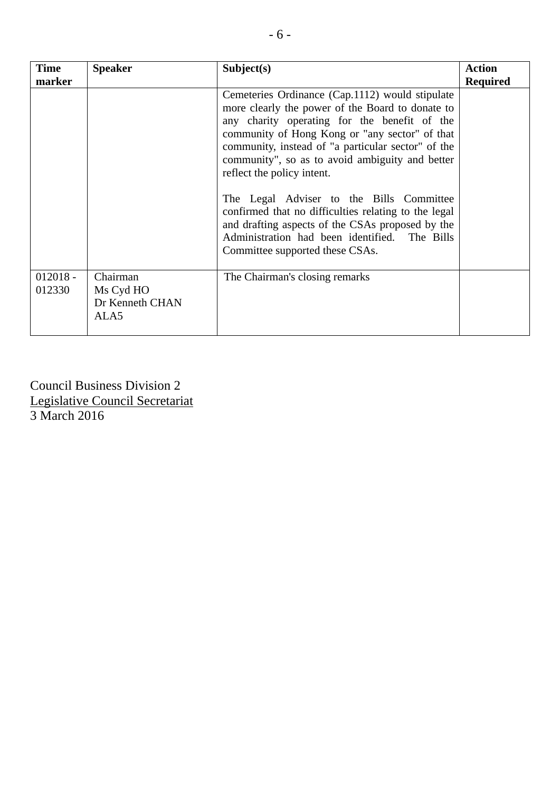| <b>Time</b><br>marker | <b>Speaker</b>                                   | Subject(s)                                                                                                                                                                                                                                                                                                                                                                                                                                                                                                                                                                               | <b>Action</b><br><b>Required</b> |
|-----------------------|--------------------------------------------------|------------------------------------------------------------------------------------------------------------------------------------------------------------------------------------------------------------------------------------------------------------------------------------------------------------------------------------------------------------------------------------------------------------------------------------------------------------------------------------------------------------------------------------------------------------------------------------------|----------------------------------|
|                       |                                                  | Cemeteries Ordinance (Cap.1112) would stipulate<br>more clearly the power of the Board to donate to<br>any charity operating for the benefit of the<br>community of Hong Kong or "any sector" of that<br>community, instead of "a particular sector" of the<br>community", so as to avoid ambiguity and better<br>reflect the policy intent.<br>The Legal Adviser to the Bills Committee<br>confirmed that no difficulties relating to the legal<br>and drafting aspects of the CSAs proposed by the<br>Administration had been identified. The Bills<br>Committee supported these CSAs. |                                  |
| $012018 -$<br>012330  | Chairman<br>Ms Cyd HO<br>Dr Kenneth CHAN<br>ALA5 | The Chairman's closing remarks                                                                                                                                                                                                                                                                                                                                                                                                                                                                                                                                                           |                                  |

Council Business Division 2 Legislative Council Secretariat 3 March 2016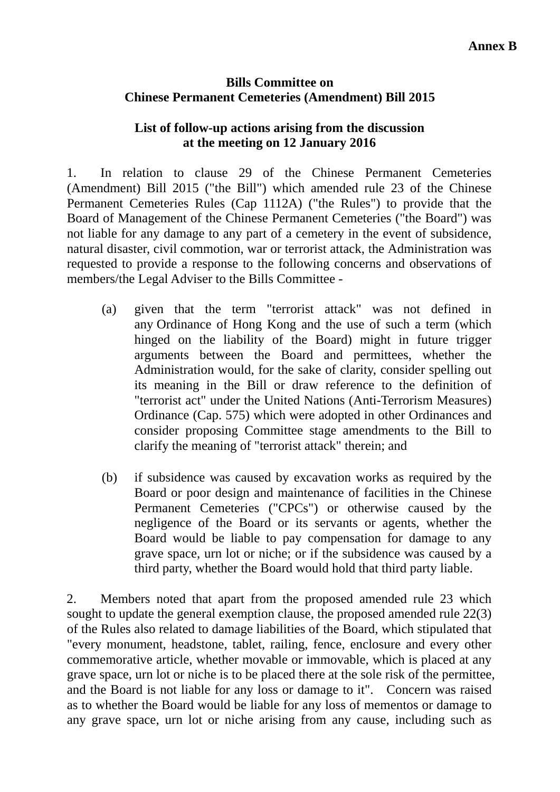### **Bills Committee on Chinese Permanent Cemeteries (Amendment) Bill 2015**

## **List of follow-up actions arising from the discussion at the meeting on 12 January 2016**

1. In relation to clause 29 of the Chinese Permanent Cemeteries (Amendment) Bill 2015 ("the Bill") which amended rule 23 of the Chinese Permanent Cemeteries Rules (Cap 1112A) ("the Rules") to provide that the Board of Management of the Chinese Permanent Cemeteries ("the Board") was not liable for any damage to any part of a cemetery in the event of subsidence, natural disaster, civil commotion, war or terrorist attack, the Administration was requested to provide a response to the following concerns and observations of members/the Legal Adviser to the Bills Committee -

- (a) given that the term "terrorist attack" was not defined in any Ordinance of Hong Kong and the use of such a term (which hinged on the liability of the Board) might in future trigger arguments between the Board and permittees, whether the Administration would, for the sake of clarity, consider spelling out its meaning in the Bill or draw reference to the definition of "terrorist act" under the United Nations (Anti-Terrorism Measures) Ordinance (Cap. 575) which were adopted in other Ordinances and consider proposing Committee stage amendments to the Bill to clarify the meaning of "terrorist attack" therein; and
- (b) if subsidence was caused by excavation works as required by the Board or poor design and maintenance of facilities in the Chinese Permanent Cemeteries ("CPCs") or otherwise caused by the negligence of the Board or its servants or agents, whether the Board would be liable to pay compensation for damage to any grave space, urn lot or niche; or if the subsidence was caused by a third party, whether the Board would hold that third party liable.

2. Members noted that apart from the proposed amended rule 23 which sought to update the general exemption clause, the proposed amended rule 22(3) of the Rules also related to damage liabilities of the Board, which stipulated that "every monument, headstone, tablet, railing, fence, enclosure and every other commemorative article, whether movable or immovable, which is placed at any grave space, urn lot or niche is to be placed there at the sole risk of the permittee, and the Board is not liable for any loss or damage to it". Concern was raised as to whether the Board would be liable for any loss of mementos or damage to any grave space, urn lot or niche arising from any cause, including such as